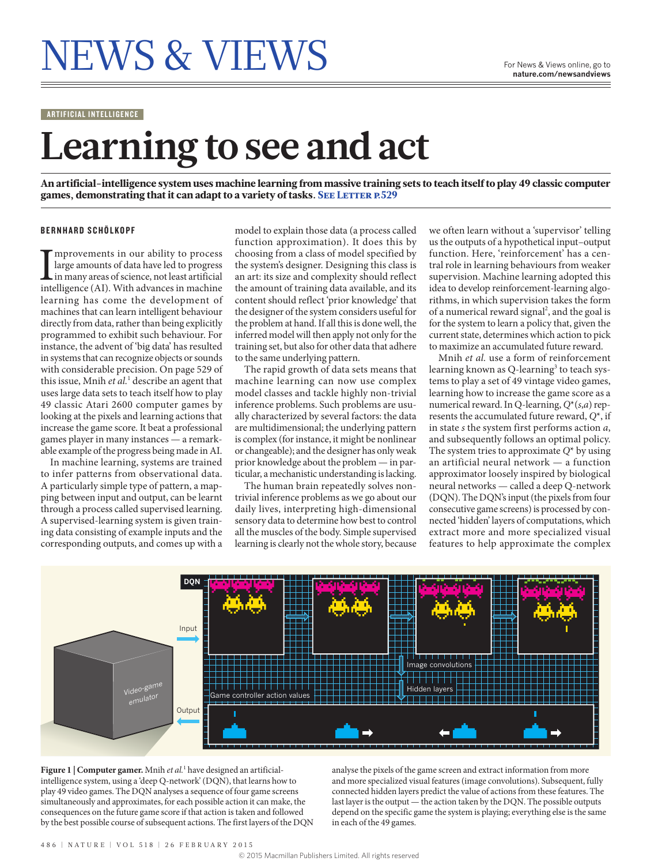# NEWS & VIEWS For News & Views online, go to

ARTIFICIAL INTELLIGENCE

## **Learning to see and act**

An artificial-intelligence system uses machine learning from massive training sets to teach itself to play 49 classic computer games, demonstrating that it can adapt to a variety of tasks. SEE LETTER P.529

#### BERNHARD SCHÖLKOPF

 $\begin{array}{l} \displaystyle \prod_{\text{improvements in our ability to process} \text{large amounts of data have led to progress} \\ \text{in many areas of science, not least artificial intelligence (AI). With advances in machine} \end{array}$ mprovements in our ability to process large amounts of data have led to progress in many areas of science, not least artificial learning has come the development of machines that can learn intelligent behaviour directly from data, rather than being explicitly programmed to exhibit such behaviour. For instance, the advent of 'big data' has resulted in systems that can recognize objects or sounds with considerable precision. On page 529 of this issue, Mnih *et al.*<sup>1</sup> describe an agent that uses large data sets to teach itself how to play 49 classic Atari 2600 computer games by looking at the pixels and learning actions that increase the game score. It beat a professional games player in many instances — a remarkable example of the progress being made in AI.

In machine learning, systems are trained to infer patterns from observational data. A particularly simple type of pattern, a mapping between input and output, can be learnt through a process called supervised learning. A supervised-learning system is given training data consisting of example inputs and the corresponding outputs, and comes up with a

model to explain those data (a process called function approximation). It does this by choosing from a class of model specified by the system's designer. Designing this class is an art: its size and complexity should reflect the amount of training data available, and its content should reflect 'prior knowledge' that the designer of the system considers useful for the problem at hand. If all this is done well, the inferred model will then apply not only for the training set, but also for other data that adhere to the same underlying pattern.

The rapid growth of data sets means that machine learning can now use complex model classes and tackle highly non-trivial inference problems. Such problems are usually characterized by several factors: the data are multidimensional; the underlying pattern is complex (for instance, it might be nonlinear or changeable); and the designer has only weak prior knowledge about the problem — in particular, a mechanistic understanding is lacking.

The human brain repeatedly solves nontrivial inference problems as we go about our daily lives, interpreting high-dimensional sensory data to determine how best to control all the muscles of the body. Simple supervised learning is clearly not the whole story, because

we often learn without a 'supervisor' telling us the outputs of a hypothetical input–output function. Here, 'reinforcement' has a central role in learning behaviours from weaker supervision. Machine learning adopted this idea to develop reinforcement-learning algorithms, in which supervision takes the form of a numerical reward signal<sup>2</sup>, and the goal is for the system to learn a policy that, given the current state, determines which action to pick to maximize an accumulated future reward.

Mnih *et al.* use a form of reinforcement learning known as Q-learning<sup>3</sup> to teach systems to play a set of 49 vintage video games, learning how to increase the game score as a numerical reward. In Q-learning, *Q*\*(*s*,*a*) represents the accumulated future reward, *Q*\*, if in state *s* the system first performs action *a*, and subsequently follows an optimal policy. The system tries to approximate *Q*\* by using an artificial neural network — a function approximator loosely inspired by biological neural networks — called a deep Q-network (DQN). The DQN's input (the pixels from four consecutive game screens) is processed by connected 'hidden' layers of computations, which extract more and more specialized visual features to help approximate the complex



Figure 1 | Computer gamer. Mnih et al.<sup>1</sup> have designed an artificialintelligence system, using a 'deep Q-network' (DQN), that learns how to play 49 video games. The DQN analyses a sequence of four game screens simultaneously and approximates, for each possible action it can make, the consequences on the future game score if that action is taken and followed by the best possible course of subsequent actions. The first layers of the DQN

analyse the pixels of the game screen and extract information from more and more specialized visual features (image convolutions). Subsequent, fully connected hidden layers predict the value of actions from these features. The last layer is the output — the action taken by the DQN. The possible outputs depend on the specific game the system is playing; everything else is the same in each of the 49 games.